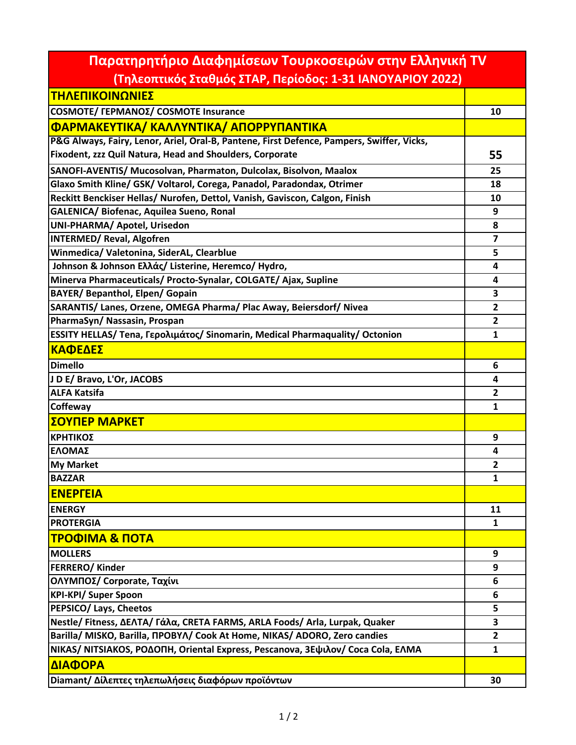| Παρατηρητήριο Διαφημίσεων Τουρκοσειρών στην Ελληνική TV                                   |                         |
|-------------------------------------------------------------------------------------------|-------------------------|
| (Τηλεοπτικός Σταθμός ΣΤΑΡ, Περίοδος: 1-31 ΙΑΝΟΥΑΡΙΟΥ 2022)                                |                         |
| ΤΗΛΕΠΙΚΟΙΝΩΝΙΕΣ                                                                           |                         |
| COSMOTE/ ΓΕΡΜΑΝΟΣ/ COSMOTE Insurance                                                      | 10                      |
| ΦΑΡΜΑΚΕΥΤΙΚΑ/ ΚΑΛΛΥΝΤΙΚΑ/ ΑΠΟΡΡΥΠΑΝΤΙΚΑ                                                   |                         |
| P&G Always, Fairy, Lenor, Ariel, Oral-B, Pantene, First Defence, Pampers, Swiffer, Vicks, |                         |
| Fixodent, zzz Quil Natura, Head and Shoulders, Corporate                                  | 55                      |
| SANOFI-AVENTIS/ Mucosolvan, Pharmaton, Dulcolax, Bisolvon, Maalox                         | 25                      |
| Glaxo Smith Kline/ GSK/ Voltarol, Corega, Panadol, Paradondax, Otrimer                    | 18                      |
| Reckitt Benckiser Hellas/ Nurofen, Dettol, Vanish, Gaviscon, Calgon, Finish               | 10                      |
| GALENICA/ Biofenac, Aquilea Sueno, Ronal                                                  | 9                       |
| UNI-PHARMA/ Apotel, Urisedon                                                              | 8                       |
| <b>INTERMED/ Reval, Algofren</b>                                                          | $\overline{\mathbf{z}}$ |
| Winmedica/ Valetonina, SiderAL, Clearblue                                                 | 5                       |
| Johnson & Johnson Ελλάς/ Listerine, Heremco/ Hydro,                                       | 4                       |
| Minerva Pharmaceuticals/ Procto-Synalar, COLGATE/ Ajax, Supline                           | 4                       |
| <b>BAYER/ Bepanthol, Elpen/ Gopain</b>                                                    | 3                       |
| SARANTIS/ Lanes, Orzene, OMEGA Pharma/ Plac Away, Beiersdorf/ Nivea                       | $\overline{2}$          |
| PharmaSyn/ Nassasin, Prospan                                                              | $\overline{2}$          |
| ESSITY HELLAS/ Tena, Γερολιμάτος/ Sinomarin, Medical Pharmaquality/ Octonion              | 1                       |
| ΚΑΦΕΔΕΣ                                                                                   |                         |
| <b>Dimello</b>                                                                            | 6                       |
| J D E/ Bravo, L'Or, JACOBS                                                                | $\overline{\mathbf{a}}$ |
| <b>ALFA Katsifa</b>                                                                       | $\mathbf{2}$            |
| Coffeway                                                                                  | $\mathbf{1}$            |
| ΣΟΥΠΕΡ ΜΑΡΚΕΤ                                                                             |                         |
| ΚΡΗΤΙΚΟΣ                                                                                  | 9                       |
| ΕΛΟΜΑΣ                                                                                    | 4                       |
| <b>My Market</b>                                                                          | $\overline{2}$          |
| <b>BAZZAR</b>                                                                             | 1                       |
| <b>ENEPFEIA</b>                                                                           |                         |
| <b>ENERGY</b>                                                                             | 11                      |
| <b>PROTERGIA</b>                                                                          | $\mathbf{1}$            |
| ТРОФІМА & ПОТА                                                                            |                         |
| <b>MOLLERS</b>                                                                            | 9                       |
| <b>FERRERO/ Kinder</b>                                                                    | 9                       |
| ΟΛΥΜΠΟΣ/ Corporate, Ταχίνι                                                                | 6                       |
| <b>KPI-KPI/ Super Spoon</b>                                                               | 6                       |
| PEPSICO/ Lays, Cheetos                                                                    | 5                       |
| Nestle/Fitness, ΔΕΛΤΑ/Γάλα, CRETA FARMS, ARLA Foods/Arla, Lurpak, Quaker                  | 3                       |
| Barilla/ MISKO, Barilla, NPOBYA/ Cook At Home, NIKAS/ ADORO, Zero candies                 | $\mathbf{2}$            |
| NIKAS/ NITSIAKOS, ΡΟΔΟΠΗ, Oriental Express, Pescanova, 3Εψιλον/ Coca Cola, ΕΛΜΑ           | $\mathbf{1}$            |
| ΔΙΑΦΟΡΑ                                                                                   |                         |
| Diamant/ Δίλεπτες τηλεπωλήσεις διαφόρων προϊόντων                                         | 30                      |